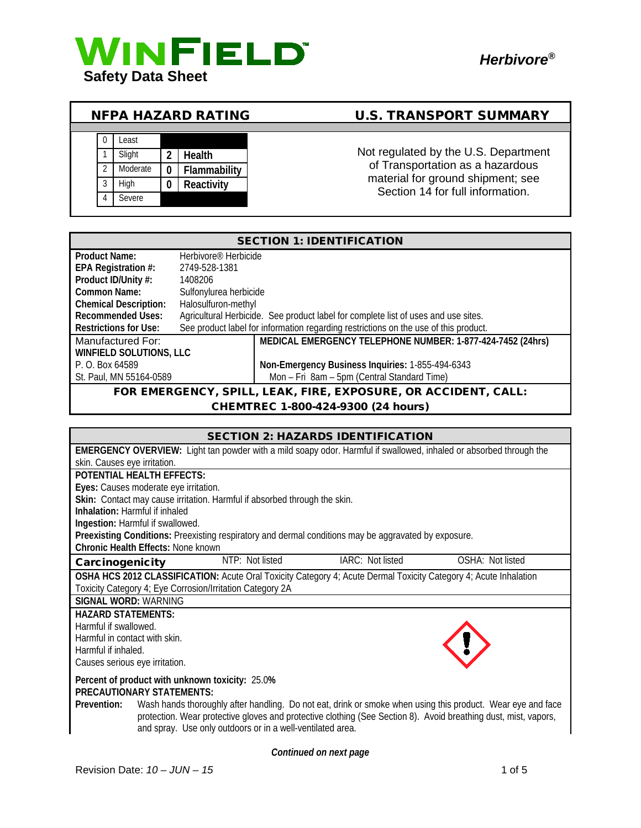

## NFPA HAZARD RATING U.S. TRANSPORT SUMMARY



Not regulated by the U.S. Department of Transportation as a hazardous material for ground shipment; see Section 14 for full information.

| <b>SECTION 1: IDENTIFICATION</b>                                                |                                  |                                                                                      |
|---------------------------------------------------------------------------------|----------------------------------|--------------------------------------------------------------------------------------|
| <b>Product Name:</b>                                                            | Herbivore <sup>®</sup> Herbicide |                                                                                      |
| EPA Registration #:                                                             | 2749-528-1381                    |                                                                                      |
| Product ID/Unity #:                                                             | 1408206                          |                                                                                      |
| Common Name:                                                                    | Sulfonylurea herbicide           |                                                                                      |
| <b>Chemical Description:</b>                                                    | Halosulfuron-methyl              |                                                                                      |
| <b>Recommended Uses:</b>                                                        |                                  | Agricultural Herbicide. See product label for complete list of uses and use sites.   |
| Restrictions for Use:                                                           |                                  | See product label for information regarding restrictions on the use of this product. |
| MEDICAL EMERGENCY TELEPHONE NUMBER: 1-877-424-7452 (24hrs)<br>Manufactured For: |                                  |                                                                                      |
| <b>WINFIELD SOLUTIONS, LLC</b>                                                  |                                  |                                                                                      |
| Non-Emergency Business Inquiries: 1-855-494-6343<br>P. O. Box 64589             |                                  |                                                                                      |
| St. Paul, MN 55164-0589                                                         |                                  | Mon - Fri 8am - 5pm (Central Standard Time)                                          |
| FOR EMERGENCY, SPILL, LEAK, FIRE, EXPOSURE, OR ACCIDENT, CALL:                  |                                  |                                                                                      |

# CHEMTREC 1-800-424-9300 (24 hours)

|                                                                                                                                                   | <b>SECTION 2: HAZARDS IDENTIFICATION</b> |                  |
|---------------------------------------------------------------------------------------------------------------------------------------------------|------------------------------------------|------------------|
| <b>EMERGENCY OVERVIEW:</b> Light tan powder with a mild soapy odor. Harmful if swallowed, inhaled or absorbed through the                         |                                          |                  |
| skin. Causes eye irritation.                                                                                                                      |                                          |                  |
| <b>POTENTIAL HEALTH EFFECTS:</b>                                                                                                                  |                                          |                  |
| Eyes: Causes moderate eye irritation.                                                                                                             |                                          |                  |
| Skin: Contact may cause irritation. Harmful if absorbed through the skin.                                                                         |                                          |                  |
| <b>Inhalation: Harmful if inhaled</b>                                                                                                             |                                          |                  |
| Ingestion: Harmful if swallowed.                                                                                                                  |                                          |                  |
| Preexisting Conditions: Preexisting respiratory and dermal conditions may be aggravated by exposure.<br><b>Chronic Health Effects: None known</b> |                                          |                  |
| NTP: Not listed                                                                                                                                   | IARC: Not listed                         | OSHA: Not listed |
| Carcinogenicity                                                                                                                                   |                                          |                  |
| OSHA HCS 2012 CLASSIFICATION: Acute Oral Toxicity Category 4; Acute Dermal Toxicity Category 4; Acute Inhalation                                  |                                          |                  |
| Toxicity Category 4; Eye Corrosion/Irritation Category 2A                                                                                         |                                          |                  |
| <b>SIGNAL WORD: WARNING</b>                                                                                                                       |                                          |                  |
| <b>HAZARD STATEMENTS:</b>                                                                                                                         |                                          |                  |
| Harmful if swallowed.                                                                                                                             |                                          |                  |
| Harmful in contact with skin.                                                                                                                     |                                          |                  |
| Harmful if inhaled.                                                                                                                               |                                          |                  |
| Causes serious eye irritation.                                                                                                                    |                                          |                  |
| Percent of product with unknown toxicity: 25.0%                                                                                                   |                                          |                  |
| <b>PRECAUTIONARY STATEMENTS:</b>                                                                                                                  |                                          |                  |
| Wash hands thoroughly after handling. Do not eat, drink or smoke when using this product. Wear eye and face<br>Prevention:                        |                                          |                  |
| protection. Wear protective gloves and protective clothing (See Section 8). Avoid breathing dust, mist, vapors,                                   |                                          |                  |
| and spray. Use only outdoors or in a well-ventilated area.                                                                                        |                                          |                  |

*Continued on next page*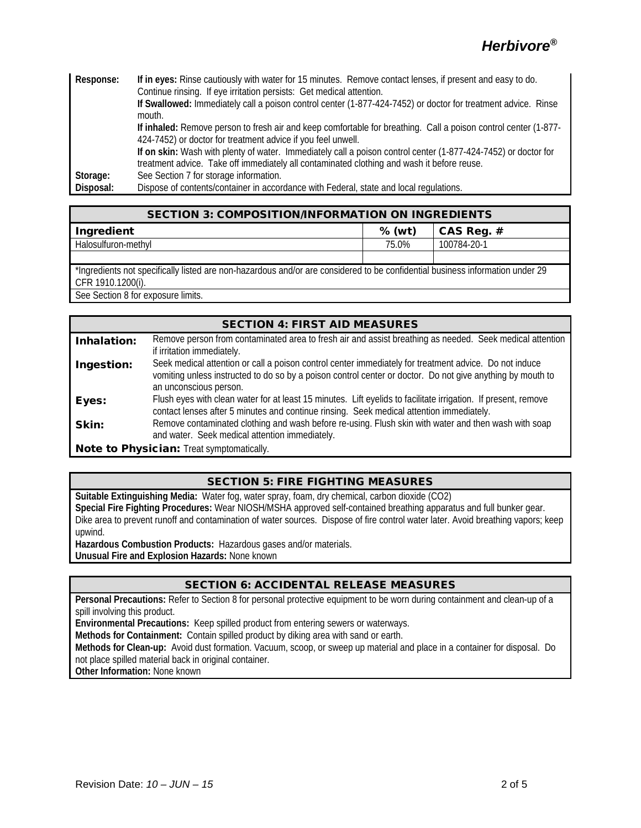# *Herbivore®*

| Response: | If in eyes: Rinse cautiously with water for 15 minutes. Remove contact lenses, if present and easy to do.       |  |  |
|-----------|-----------------------------------------------------------------------------------------------------------------|--|--|
|           | Continue rinsing. If eye irritation persists: Get medical attention.                                            |  |  |
|           | If Swallowed: Immediately call a poison control center (1-877-424-7452) or doctor for treatment advice. Rinse   |  |  |
|           | mouth.                                                                                                          |  |  |
|           | If inhaled: Remove person to fresh air and keep comfortable for breathing. Call a poison control center (1-877- |  |  |
|           | 424-7452) or doctor for treatment advice if you feel unwell.                                                    |  |  |
|           | If on skin: Wash with plenty of water. Immediately call a poison control center (1-877-424-7452) or doctor for  |  |  |
|           | treatment advice. Take off immediately all contaminated clothing and wash it before reuse.                      |  |  |
| Storage:  | See Section 7 for storage information.                                                                          |  |  |
| Disposal: | Dispose of contents/container in accordance with Federal, state and local regulations.                          |  |  |

| <b>SECTION 3: COMPOSITION/INFORMATION ON INGREDIENTS</b>                                                                                           |          |              |
|----------------------------------------------------------------------------------------------------------------------------------------------------|----------|--------------|
| Ingredient                                                                                                                                         | $%$ (wt) | CAS Req. $#$ |
| Halosulfuron-methyl                                                                                                                                | 75.0%    | 100784-20-1  |
|                                                                                                                                                    |          |              |
| *Ingredients not specifically listed are non-hazardous and/or are considered to be confidential business information under 29<br>CFR 1910.1200(i). |          |              |

See Section 8 for exposure limits.

|             | <b>SECTION 4: FIRST AID MEASURES</b>                                                                           |
|-------------|----------------------------------------------------------------------------------------------------------------|
| Inhalation: | Remove person from contaminated area to fresh air and assist breathing as needed. Seek medical attention       |
|             | if irritation immediately.                                                                                     |
| Ingestion:  | Seek medical attention or call a poison control center immediately for treatment advice. Do not induce         |
|             | vomiting unless instructed to do so by a poison control center or doctor. Do not give anything by mouth to     |
|             | an unconscious person.                                                                                         |
| Eyes:       | Flush eyes with clean water for at least 15 minutes. Lift eyelids to facilitate irrigation. If present, remove |
|             | contact lenses after 5 minutes and continue rinsing. Seek medical attention immediately.                       |
| Skin:       | Remove contaminated clothing and wash before re-using. Flush skin with water and then wash with soap           |
|             | and water. Seek medical attention immediately.                                                                 |
|             | Note to Physician: Treat symptomatically.                                                                      |

#### SECTION 5: FIRE FIGHTING MEASURES

**Suitable Extinguishing Media:** Water fog, water spray, foam, dry chemical, carbon dioxide (CO2) **Special Fire Fighting Procedures:** Wear NIOSH/MSHA approved self-contained breathing apparatus and full bunker gear. Dike area to prevent runoff and contamination of water sources. Dispose of fire control water later. Avoid breathing vapors; keep upwind.

**Hazardous Combustion Products:** Hazardous gases and/or materials.

**Unusual Fire and Explosion Hazards:** None known

#### SECTION 6: ACCIDENTAL RELEASE MEASURES

**Personal Precautions:** Refer to Section 8 for personal protective equipment to be worn during containment and clean-up of a spill involving this product.

**Environmental Precautions:** Keep spilled product from entering sewers or waterways.

**Methods for Containment:** Contain spilled product by diking area with sand or earth.

**Methods for Clean-up:** Avoid dust formation. Vacuum, scoop, or sweep up material and place in a container for disposal. Do not place spilled material back in original container.

**Other Information:** None known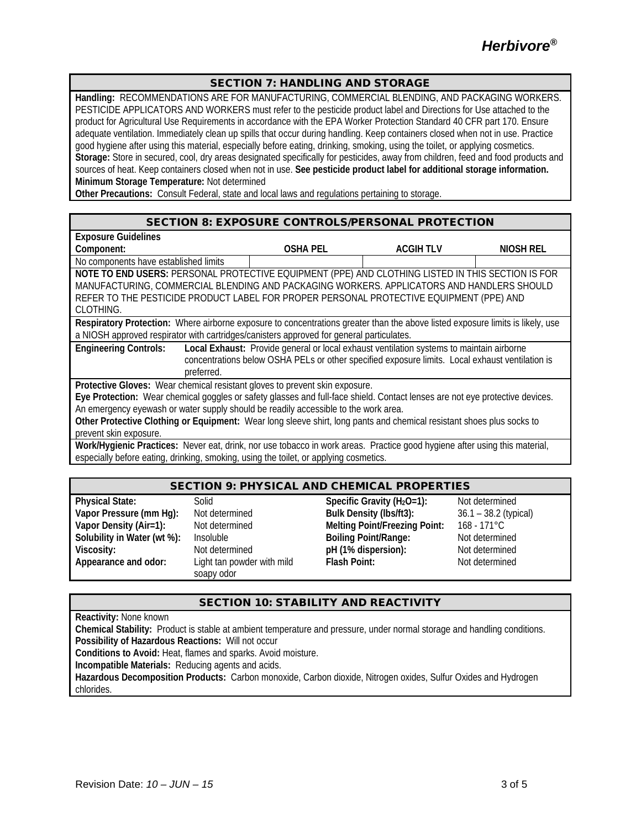#### SECTION 7: HANDLING AND STORAGE

**Handling:** RECOMMENDATIONS ARE FOR MANUFACTURING, COMMERCIAL BLENDING, AND PACKAGING WORKERS. PESTICIDE APPLICATORS AND WORKERS must refer to the pesticide product label and Directions for Use attached to the product for Agricultural Use Requirements in accordance with the EPA Worker Protection Standard 40 CFR part 170. Ensure adequate ventilation. Immediately clean up spills that occur during handling. Keep containers closed when not in use. Practice good hygiene after using this material, especially before eating, drinking, smoking, using the toilet, or applying cosmetics. **Storage:** Store in secured, cool, dry areas designated specifically for pesticides, away from children, feed and food products and sources of heat. Keep containers closed when not in use. **See pesticide product label for additional storage information. Minimum Storage Temperature:** Not determined

**Other Precautions:** Consult Federal, state and local laws and regulations pertaining to storage.

#### SECTION 8: EXPOSURE CONTROLS/PERSONAL PROTECTION

| <b>Exposure Guidelines</b>                                                                                                     |                 |                                                                                                 |           |
|--------------------------------------------------------------------------------------------------------------------------------|-----------------|-------------------------------------------------------------------------------------------------|-----------|
| Component:                                                                                                                     | <b>OSHA PEL</b> | <b>ACGIH TLV</b>                                                                                | NIOSH REL |
| No components have established limits                                                                                          |                 |                                                                                                 |           |
| NOTE TO END USERS: PERSONAL PROTECTIVE EQUIPMENT (PPE) AND CLOTHING LISTED IN THIS SECTION IS FOR                              |                 |                                                                                                 |           |
| MANUFACTURING, COMMERCIAL BLENDING AND PACKAGING WORKERS. APPLICATORS AND HANDLERS SHOULD                                      |                 |                                                                                                 |           |
| REFER TO THE PESTICIDE PRODUCT LABEL FOR PROPER PERSONAL PROTECTIVE EQUIPMENT (PPE) AND                                        |                 |                                                                                                 |           |
| CLOTHING.                                                                                                                      |                 |                                                                                                 |           |
| Respiratory Protection: Where airborne exposure to concentrations greater than the above listed exposure limits is likely, use |                 |                                                                                                 |           |
| a NIOSH approved respirator with cartridges/canisters approved for general particulates.                                       |                 |                                                                                                 |           |
| <b>Engineering Controls:</b>                                                                                                   |                 | Local Exhaust: Provide general or local exhaust ventilation systems to maintain airborne        |           |
|                                                                                                                                |                 | concentrations below OSHA PELs or other specified exposure limits. Local exhaust ventilation is |           |
| preferred.                                                                                                                     |                 |                                                                                                 |           |
| Protective Gloves: Wear chemical resistant gloves to prevent skin exposure.                                                    |                 |                                                                                                 |           |
| Eye Protection: Wear chemical goggles or safety glasses and full-face shield. Contact lenses are not eye protective devices.   |                 |                                                                                                 |           |
| An emergency eyewash or water supply should be readily accessible to the work area.                                            |                 |                                                                                                 |           |
| Other Protective Clothing or Equipment: Wear long sleeve shirt, long pants and chemical resistant shoes plus socks to          |                 |                                                                                                 |           |
| prevent skin exposure.                                                                                                         |                 |                                                                                                 |           |
| Work/Hygienic Practices: Never eat, drink, nor use tobacco in work areas. Practice good hygiene after using this material,     |                 |                                                                                                 |           |
| especially before eating, drinking, smoking, using the toilet, or applying cosmetics.                                          |                 |                                                                                                 |           |

#### SECTION 9: PHYSICAL AND CHEMICAL PROPERTIES

**Appearance and odor:** Light tan powder with mild

soapy odor

**Physical State:** Solid Specific Gravity (H<sub>2</sub>O=1): Not determined **Vapor Pressure (mm Hg):** Not determined **Bulk Density (lbs/ft3):** 36.1 – 38.2 (typical)<br> **Vapor Density (Air=1):** Not determined Melting Point/Freezing Point: 168 - 171°C **Vapor Density (Air=1):** Not determined **Melting Point/Freezing Point: Solubility in Water (wt %):** Insoluble **Boiling Point/Range:** Not determined **Viscosity:** Not determined **pH (1% dispersion):** Not determined

**Flash Point:** Not determined

#### SECTION 10: STABILITY AND REACTIVITY

**Reactivity:** None known

**Chemical Stability:** Product is stable at ambient temperature and pressure, under normal storage and handling conditions. **Possibility of Hazardous Reactions:** Will not occur

**Conditions to Avoid:** Heat, flames and sparks. Avoid moisture.

**Incompatible Materials:** Reducing agents and acids.

**Hazardous Decomposition Products:** Carbon monoxide, Carbon dioxide, Nitrogen oxides, Sulfur Oxides and Hydrogen chlorides.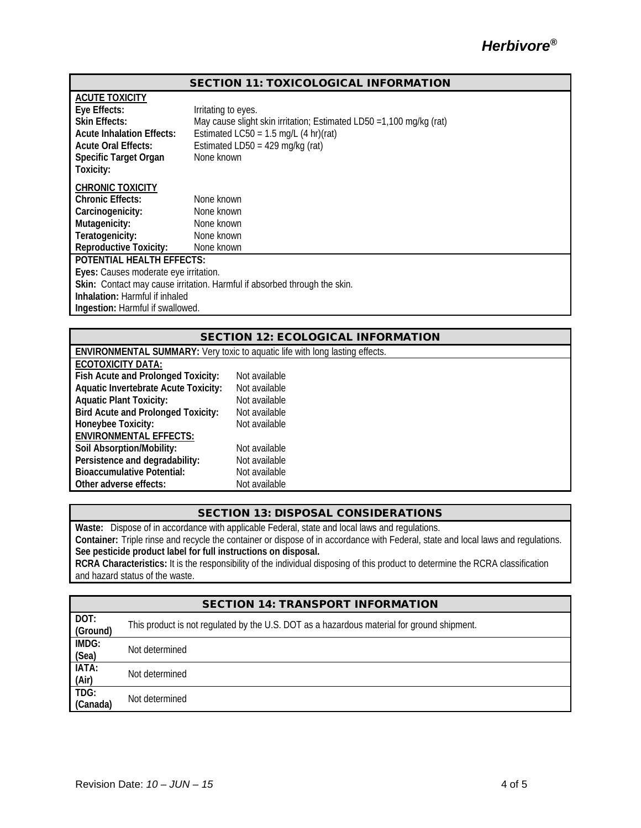#### SECTION 11: TOXICOLOGICAL INFORMATION

| <b>ACUTE TOXICITY</b>                                                     |                                                                      |  |
|---------------------------------------------------------------------------|----------------------------------------------------------------------|--|
| Eye Effects:                                                              | Irritating to eyes.                                                  |  |
| <b>Skin Effects:</b>                                                      | May cause slight skin irritation; Estimated LD50 = 1,100 mg/kg (rat) |  |
| <b>Acute Inhalation Effects:</b>                                          | Estimated LC50 = $1.5$ mg/L (4 hr)(rat)                              |  |
| <b>Acute Oral Effects:</b>                                                | Estimated LD50 = $429$ mg/kg (rat)                                   |  |
| <b>Specific Target Organ</b>                                              | None known                                                           |  |
| Toxicity:                                                                 |                                                                      |  |
| <b>CHRONIC TOXICITY</b>                                                   |                                                                      |  |
| <b>Chronic Effects:</b>                                                   | None known                                                           |  |
| Carcinogenicity:                                                          | None known                                                           |  |
| Mutagenicity:                                                             | None known                                                           |  |
| Teratogenicity:                                                           | None known                                                           |  |
| <b>Reproductive Toxicity:</b>                                             | None known                                                           |  |
| <b>POTENTIAL HEALTH EFFECTS:</b>                                          |                                                                      |  |
| Eyes: Causes moderate eye irritation.                                     |                                                                      |  |
| Skin: Contact may cause irritation. Harmful if absorbed through the skin. |                                                                      |  |
| <b>Inhalation:</b> Harmful if inhaled                                     |                                                                      |  |
| Ingestion: Harmful if swallowed.                                          |                                                                      |  |

#### SECTION 12: ECOLOGICAL INFORMATION

| ENVIRONMENTAL SUMMARY: Very toxic to aquatic life with long lasting effects. |               |  |
|------------------------------------------------------------------------------|---------------|--|
| ECOTOXICITY DATA:                                                            |               |  |
| Fish Acute and Prolonged Toxicity:                                           | Not available |  |
| <b>Aquatic Invertebrate Acute Toxicity:</b>                                  | Not available |  |
| <b>Aquatic Plant Toxicity:</b>                                               | Not available |  |
| <b>Bird Acute and Prolonged Toxicity:</b>                                    | Not available |  |
| Honeybee Toxicity:                                                           | Not available |  |
| <b>ENVIRONMENTAL EFFECTS:</b>                                                |               |  |
| Soil Absorption/Mobility:                                                    | Not available |  |
| Persistence and degradability:                                               | Not available |  |
| <b>Bioaccumulative Potential:</b>                                            | Not available |  |
| Other adverse effects:                                                       | Not available |  |

#### SECTION 13: DISPOSAL CONSIDERATIONS

**Waste:** Dispose of in accordance with applicable Federal, state and local laws and regulations.

**Container:** Triple rinse and recycle the container or dispose of in accordance with Federal, state and local laws and regulations. **See pesticide product label for full instructions on disposal.**

**RCRA Characteristics:** It is the responsibility of the individual disposing of this product to determine the RCRA classification and hazard status of the waste.

|                  | <b>SECTION 14: TRANSPORT INFORMATION</b>                                                   |
|------------------|--------------------------------------------------------------------------------------------|
| DOT:<br>(Ground) | This product is not regulated by the U.S. DOT as a hazardous material for ground shipment. |
| IMDG:<br>(Sea)   | Not determined                                                                             |
| IATA:<br>(Air)   | Not determined                                                                             |
| TDG:<br>(Canada) | Not determined                                                                             |